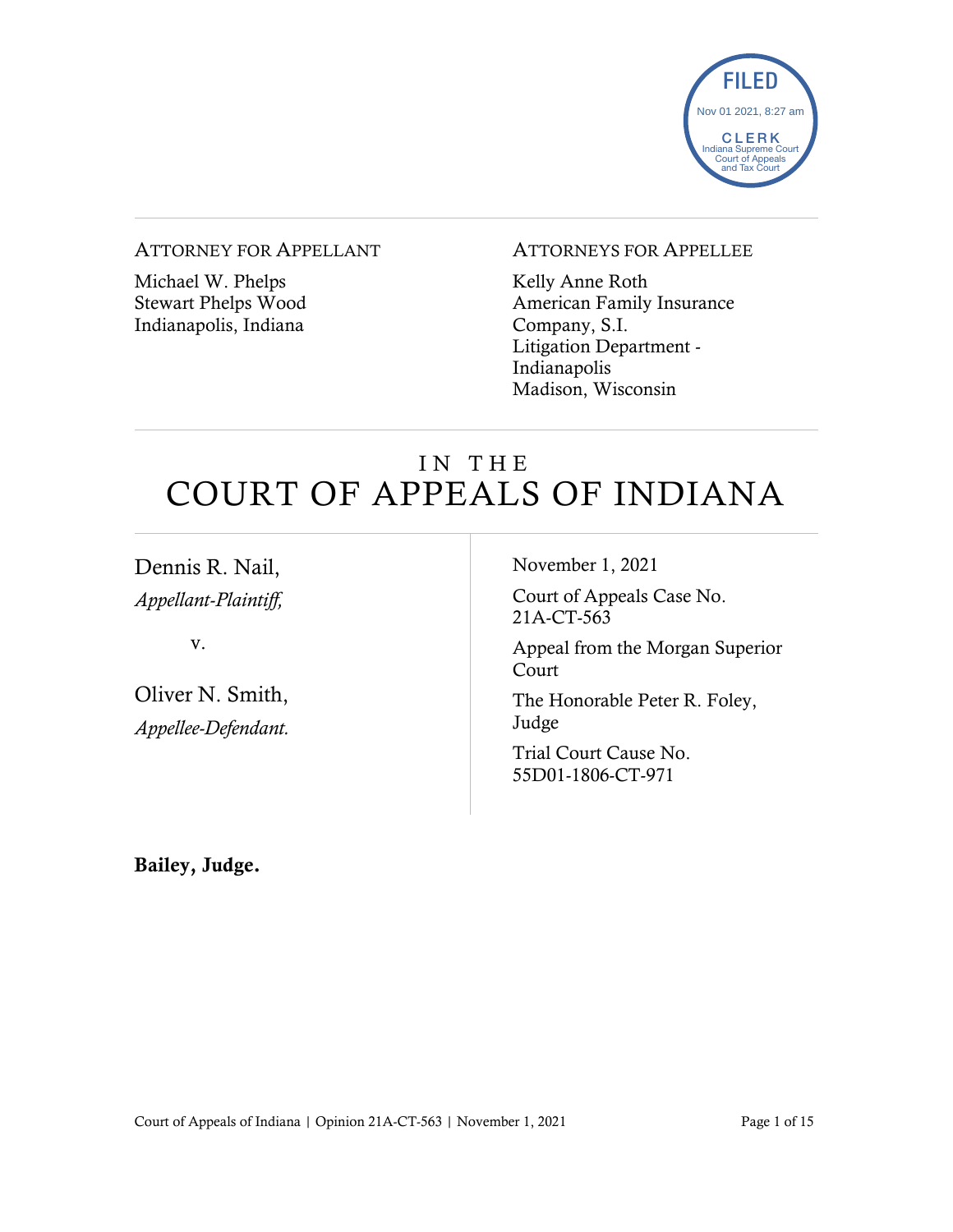

#### ATTORNEY FOR APPELLANT

Michael W. Phelps Stewart Phelps Wood Indianapolis, Indiana

### ATTORNEYS FOR APPELLEE

Kelly Anne Roth American Family Insurance Company, S.I. Litigation Department - Indianapolis Madison, Wisconsin

# IN THE COURT OF APPEALS OF INDIANA

Dennis R. Nail, *Appellant-Plaintiff,*

v.

Oliver N. Smith, *Appellee-Defendant.* November 1, 2021

Court of Appeals Case No. 21A-CT-563

Appeal from the Morgan Superior Court

The Honorable Peter R. Foley, Judge

Trial Court Cause No. 55D01-1806-CT-971

Bailey, Judge.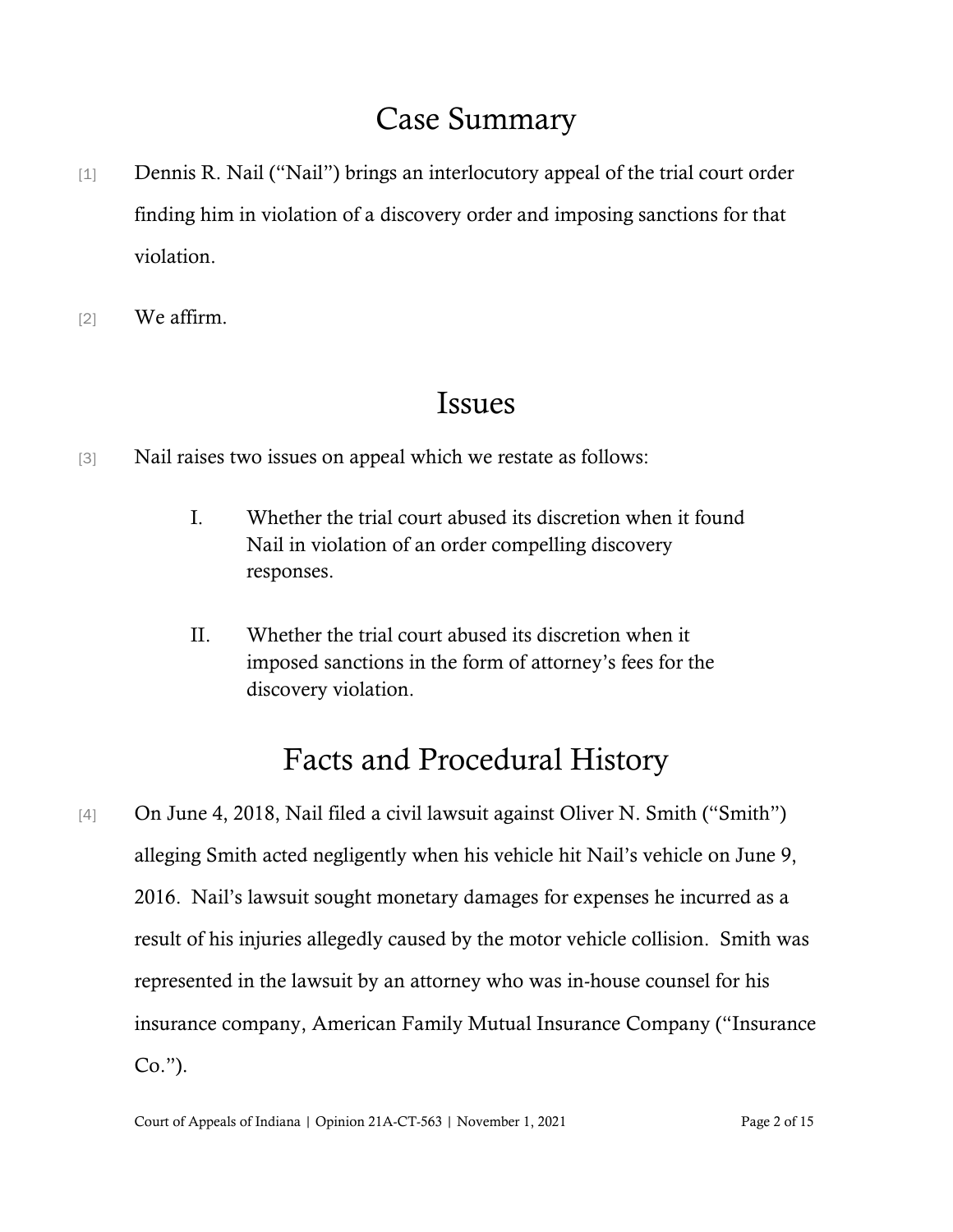# Case Summary

- [1] Dennis R. Nail ("Nail") brings an interlocutory appeal of the trial court order finding him in violation of a discovery order and imposing sanctions for that violation.
- [2] We affirm.

## Issues

- [3] Nail raises two issues on appeal which we restate as follows:
	- I. Whether the trial court abused its discretion when it found Nail in violation of an order compelling discovery responses.
	- II. Whether the trial court abused its discretion when it imposed sanctions in the form of attorney's fees for the discovery violation.

# Facts and Procedural History

[4] On June 4, 2018, Nail filed a civil lawsuit against Oliver N. Smith ("Smith") alleging Smith acted negligently when his vehicle hit Nail's vehicle on June 9, 2016. Nail's lawsuit sought monetary damages for expenses he incurred as a result of his injuries allegedly caused by the motor vehicle collision. Smith was represented in the lawsuit by an attorney who was in-house counsel for his insurance company, American Family Mutual Insurance Company ("Insurance Co.").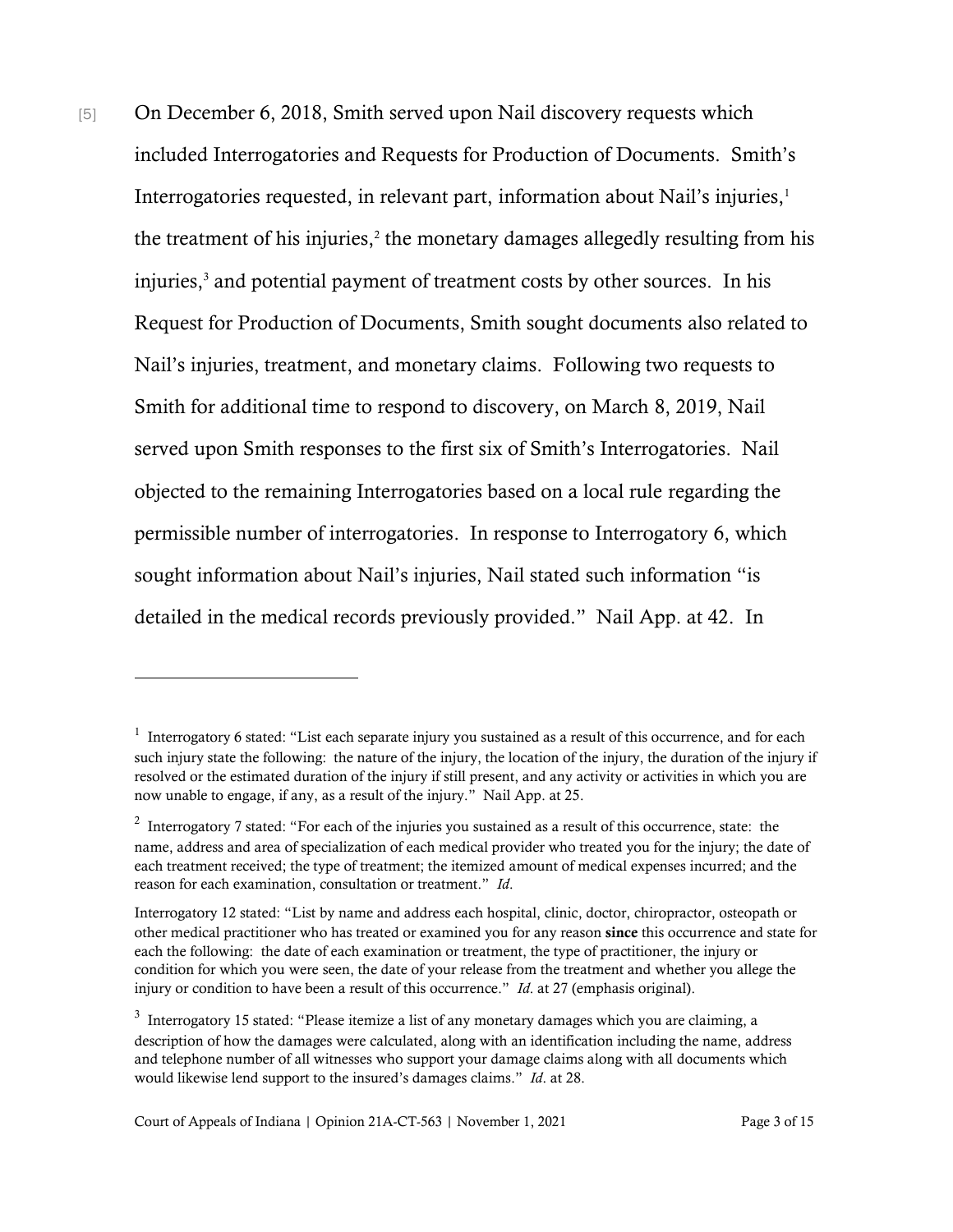[5] On December 6, 2018, Smith served upon Nail discovery requests which included Interrogatories and Requests for Production of Documents. Smith's Interrogatories requested, in relevant part, information about Nail's injuries, 1 the treatment of his injuries, $2$  the monetary damages allegedly resulting from his injuries, <sup>3</sup> and potential payment of treatment costs by other sources. In his Request for Production of Documents, Smith sought documents also related to Nail's injuries, treatment, and monetary claims. Following two requests to Smith for additional time to respond to discovery, on March 8, 2019, Nail served upon Smith responses to the first six of Smith's Interrogatories. Nail objected to the remaining Interrogatories based on a local rule regarding the permissible number of interrogatories. In response to Interrogatory 6, which sought information about Nail's injuries, Nail stated such information "is detailed in the medical records previously provided." Nail App. at 42. In

 $<sup>1</sup>$  Interrogatory 6 stated: "List each separate injury you sustained as a result of this occurrence, and for each</sup> such injury state the following: the nature of the injury, the location of the injury, the duration of the injury if resolved or the estimated duration of the injury if still present, and any activity or activities in which you are now unable to engage, if any, as a result of the injury." Nail App. at 25.

<sup>&</sup>lt;sup>2</sup> Interrogatory 7 stated: "For each of the injuries you sustained as a result of this occurrence, state: the name, address and area of specialization of each medical provider who treated you for the injury; the date of each treatment received; the type of treatment; the itemized amount of medical expenses incurred; and the reason for each examination, consultation or treatment." *Id*.

Interrogatory 12 stated: "List by name and address each hospital, clinic, doctor, chiropractor, osteopath or other medical practitioner who has treated or examined you for any reason since this occurrence and state for each the following: the date of each examination or treatment, the type of practitioner, the injury or condition for which you were seen, the date of your release from the treatment and whether you allege the injury or condition to have been a result of this occurrence." *Id*. at 27 (emphasis original).

 $3$  Interrogatory 15 stated: "Please itemize a list of any monetary damages which you are claiming, a description of how the damages were calculated, along with an identification including the name, address and telephone number of all witnesses who support your damage claims along with all documents which would likewise lend support to the insured's damages claims." *Id*. at 28.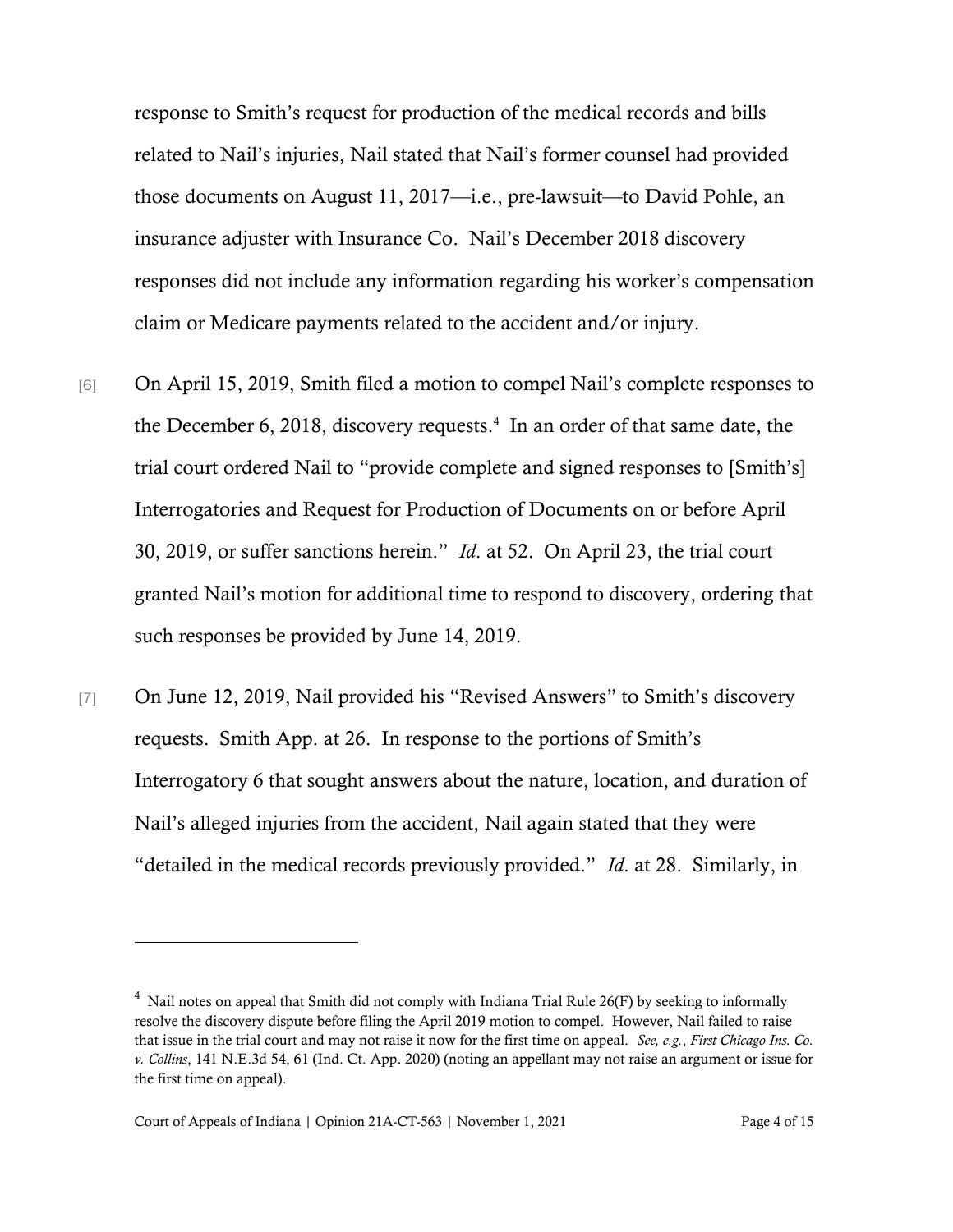response to Smith's request for production of the medical records and bills related to Nail's injuries, Nail stated that Nail's former counsel had provided those documents on August 11, 2017—i.e., pre-lawsuit—to David Pohle, an insurance adjuster with Insurance Co. Nail's December 2018 discovery responses did not include any information regarding his worker's compensation claim or Medicare payments related to the accident and/or injury.

- [6] On April 15, 2019, Smith filed a motion to compel Nail's complete responses to the December 6, 2018, discovery requests.<sup>4</sup> In an order of that same date, the trial court ordered Nail to "provide complete and signed responses to [Smith's] Interrogatories and Request for Production of Documents on or before April 30, 2019, or suffer sanctions herein." *Id*. at 52. On April 23, the trial court granted Nail's motion for additional time to respond to discovery, ordering that such responses be provided by June 14, 2019.
- [7] On June 12, 2019, Nail provided his "Revised Answers" to Smith's discovery requests. Smith App. at 26. In response to the portions of Smith's Interrogatory 6 that sought answers about the nature, location, and duration of Nail's alleged injuries from the accident, Nail again stated that they were "detailed in the medical records previously provided." *Id*. at 28. Similarly, in

 $4$  Nail notes on appeal that Smith did not comply with Indiana Trial Rule 26(F) by seeking to informally resolve the discovery dispute before filing the April 2019 motion to compel. However, Nail failed to raise that issue in the trial court and may not raise it now for the first time on appeal. *See, e.g.*, *First Chicago Ins. Co. v. Collins*, 141 N.E.3d 54, 61 (Ind. Ct. App. 2020) (noting an appellant may not raise an argument or issue for the first time on appeal).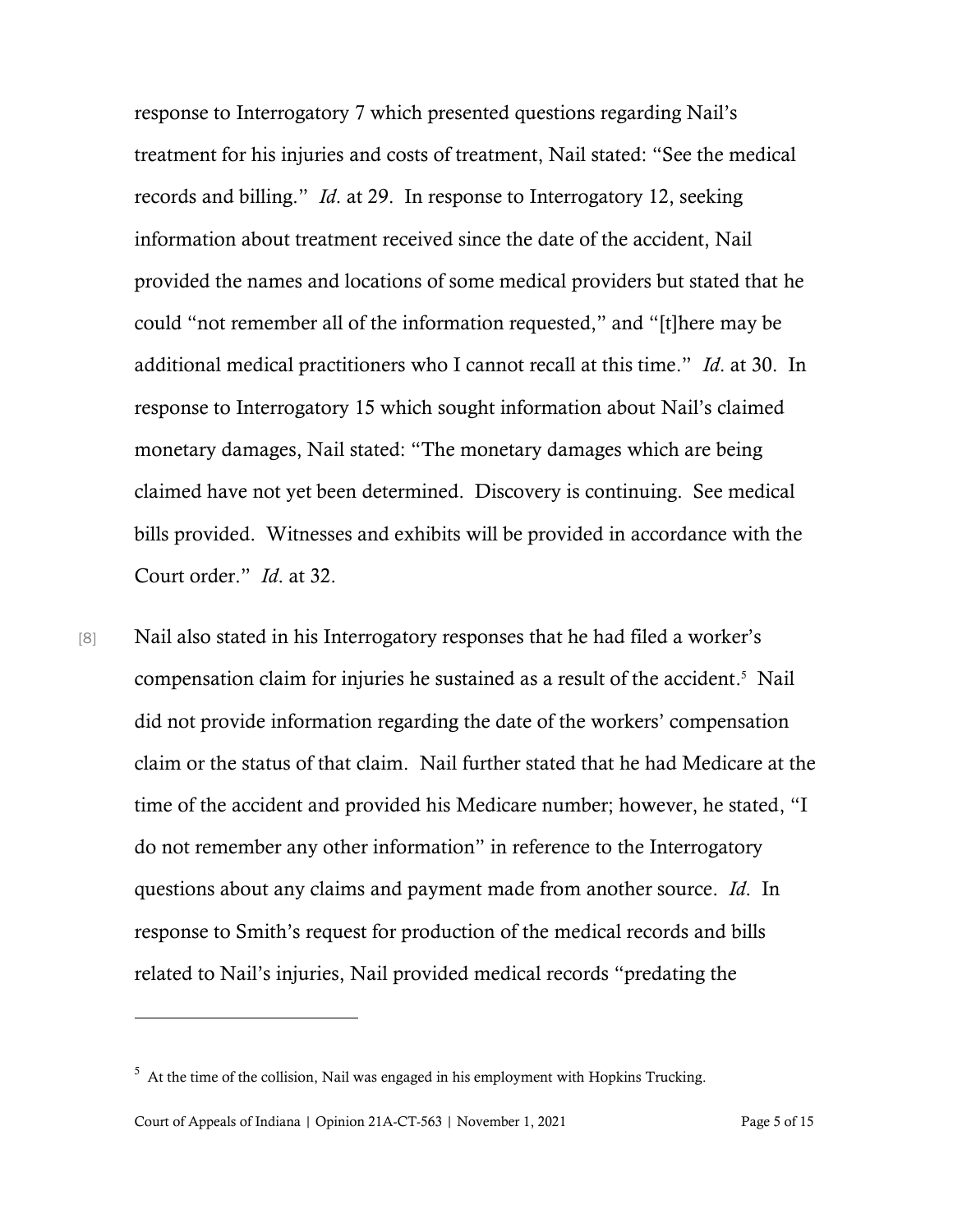response to Interrogatory 7 which presented questions regarding Nail's treatment for his injuries and costs of treatment, Nail stated: "See the medical records and billing." *Id*. at 29. In response to Interrogatory 12, seeking information about treatment received since the date of the accident, Nail provided the names and locations of some medical providers but stated that he could "not remember all of the information requested," and "[t]here may be additional medical practitioners who I cannot recall at this time." *Id*. at 30. In response to Interrogatory 15 which sought information about Nail's claimed monetary damages, Nail stated: "The monetary damages which are being claimed have not yet been determined. Discovery is continuing. See medical bills provided. Witnesses and exhibits will be provided in accordance with the Court order." *Id*. at 32.

[8] Nail also stated in his Interrogatory responses that he had filed a worker's compensation claim for injuries he sustained as a result of the accident. <sup>5</sup> Nail did not provide information regarding the date of the workers' compensation claim or the status of that claim. Nail further stated that he had Medicare at the time of the accident and provided his Medicare number; however, he stated, "I do not remember any other information" in reference to the Interrogatory questions about any claims and payment made from another source. *Id*. In response to Smith's request for production of the medical records and bills related to Nail's injuries, Nail provided medical records "predating the

 $5$  At the time of the collision, Nail was engaged in his employment with Hopkins Trucking.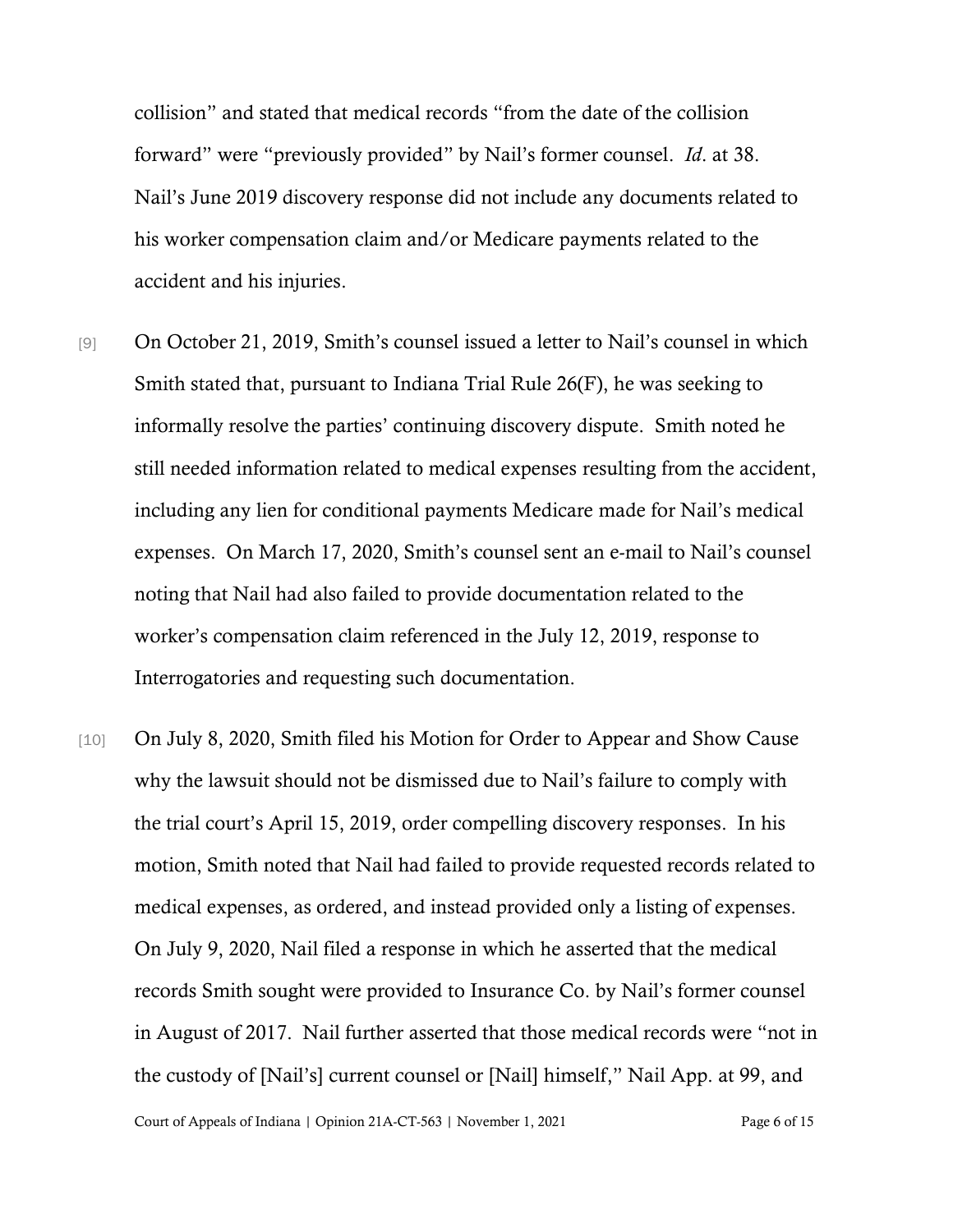collision" and stated that medical records "from the date of the collision forward" were "previously provided" by Nail's former counsel. *Id*. at 38. Nail's June 2019 discovery response did not include any documents related to his worker compensation claim and/or Medicare payments related to the accident and his injuries.

- [9] On October 21, 2019, Smith's counsel issued a letter to Nail's counsel in which Smith stated that, pursuant to Indiana Trial Rule 26(F), he was seeking to informally resolve the parties' continuing discovery dispute. Smith noted he still needed information related to medical expenses resulting from the accident, including any lien for conditional payments Medicare made for Nail's medical expenses. On March 17, 2020, Smith's counsel sent an e-mail to Nail's counsel noting that Nail had also failed to provide documentation related to the worker's compensation claim referenced in the July 12, 2019, response to Interrogatories and requesting such documentation.
- [10] On July 8, 2020, Smith filed his Motion for Order to Appear and Show Cause why the lawsuit should not be dismissed due to Nail's failure to comply with the trial court's April 15, 2019, order compelling discovery responses. In his motion, Smith noted that Nail had failed to provide requested records related to medical expenses, as ordered, and instead provided only a listing of expenses. On July 9, 2020, Nail filed a response in which he asserted that the medical records Smith sought were provided to Insurance Co. by Nail's former counsel in August of 2017. Nail further asserted that those medical records were "not in the custody of [Nail's] current counsel or [Nail] himself," Nail App. at 99, and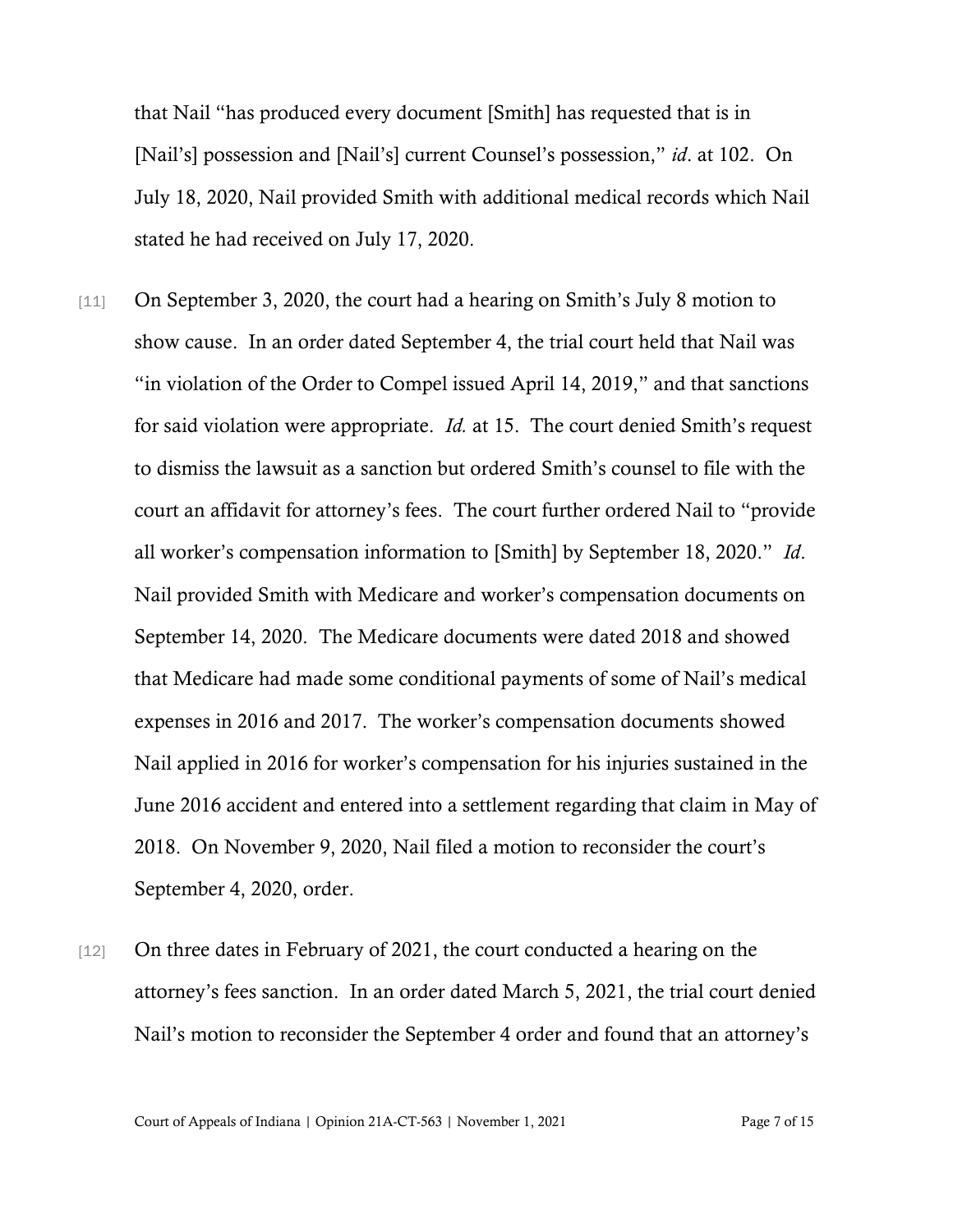that Nail "has produced every document [Smith] has requested that is in [Nail's] possession and [Nail's] current Counsel's possession," *id*. at 102. On July 18, 2020, Nail provided Smith with additional medical records which Nail stated he had received on July 17, 2020.

- [11] On September 3, 2020, the court had a hearing on Smith's July 8 motion to show cause. In an order dated September 4, the trial court held that Nail was "in violation of the Order to Compel issued April 14, 2019," and that sanctions for said violation were appropriate. *Id.* at 15. The court denied Smith's request to dismiss the lawsuit as a sanction but ordered Smith's counsel to file with the court an affidavit for attorney's fees. The court further ordered Nail to "provide all worker's compensation information to [Smith] by September 18, 2020." *Id*. Nail provided Smith with Medicare and worker's compensation documents on September 14, 2020. The Medicare documents were dated 2018 and showed that Medicare had made some conditional payments of some of Nail's medical expenses in 2016 and 2017. The worker's compensation documents showed Nail applied in 2016 for worker's compensation for his injuries sustained in the June 2016 accident and entered into a settlement regarding that claim in May of 2018. On November 9, 2020, Nail filed a motion to reconsider the court's September 4, 2020, order.
- [12] On three dates in February of 2021, the court conducted a hearing on the attorney's fees sanction. In an order dated March 5, 2021, the trial court denied Nail's motion to reconsider the September 4 order and found that an attorney's

Court of Appeals of Indiana | Opinion 21A-CT-563 | November 1, 2021 Page 7 of 15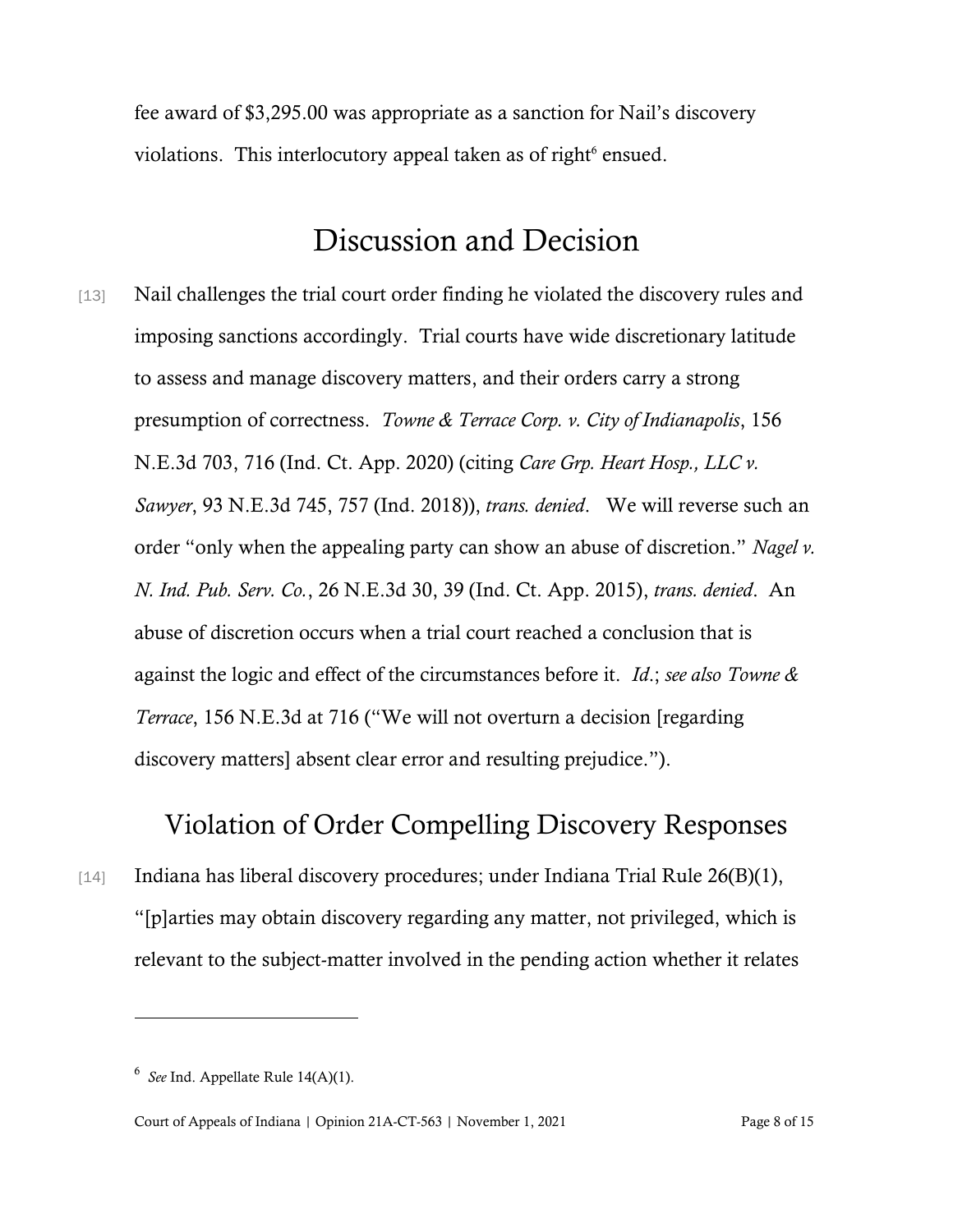fee award of \$3,295.00 was appropriate as a sanction for Nail's discovery violations. This interlocutory appeal taken as of right<sup>6</sup> ensued.

## Discussion and Decision

[13] Nail challenges the trial court order finding he violated the discovery rules and imposing sanctions accordingly. Trial courts have wide discretionary latitude to assess and manage discovery matters, and their orders carry a strong presumption of correctness. *Towne & Terrace Corp. v. City of Indianapolis*, 156 N.E.3d 703, 716 (Ind. Ct. App. 2020) (citing *Care Grp. Heart Hosp., LLC v. Sawyer*, 93 N.E.3d 745, 757 (Ind. 2018)), *trans. denied*. We will reverse such an order "only when the appealing party can show an abuse of discretion." *Nagel v. N. Ind. Pub. Serv. Co.*, 26 N.E.3d 30, 39 (Ind. Ct. App. 2015), *trans. denied*. An abuse of discretion occurs when a trial court reached a conclusion that is against the logic and effect of the circumstances before it. *Id*.; *see also Towne & Terrace*, 156 N.E.3d at 716 ("We will not overturn a decision [regarding discovery matters] absent clear error and resulting prejudice.").

## Violation of Order Compelling Discovery Responses

[14] Indiana has liberal discovery procedures; under Indiana Trial Rule 26(B)(1), "[p]arties may obtain discovery regarding any matter, not privileged, which is relevant to the subject-matter involved in the pending action whether it relates

<sup>6</sup> *See* Ind. Appellate Rule 14(A)(1).

Court of Appeals of Indiana | Opinion 21A-CT-563 | November 1, 2021 Page 8 of 15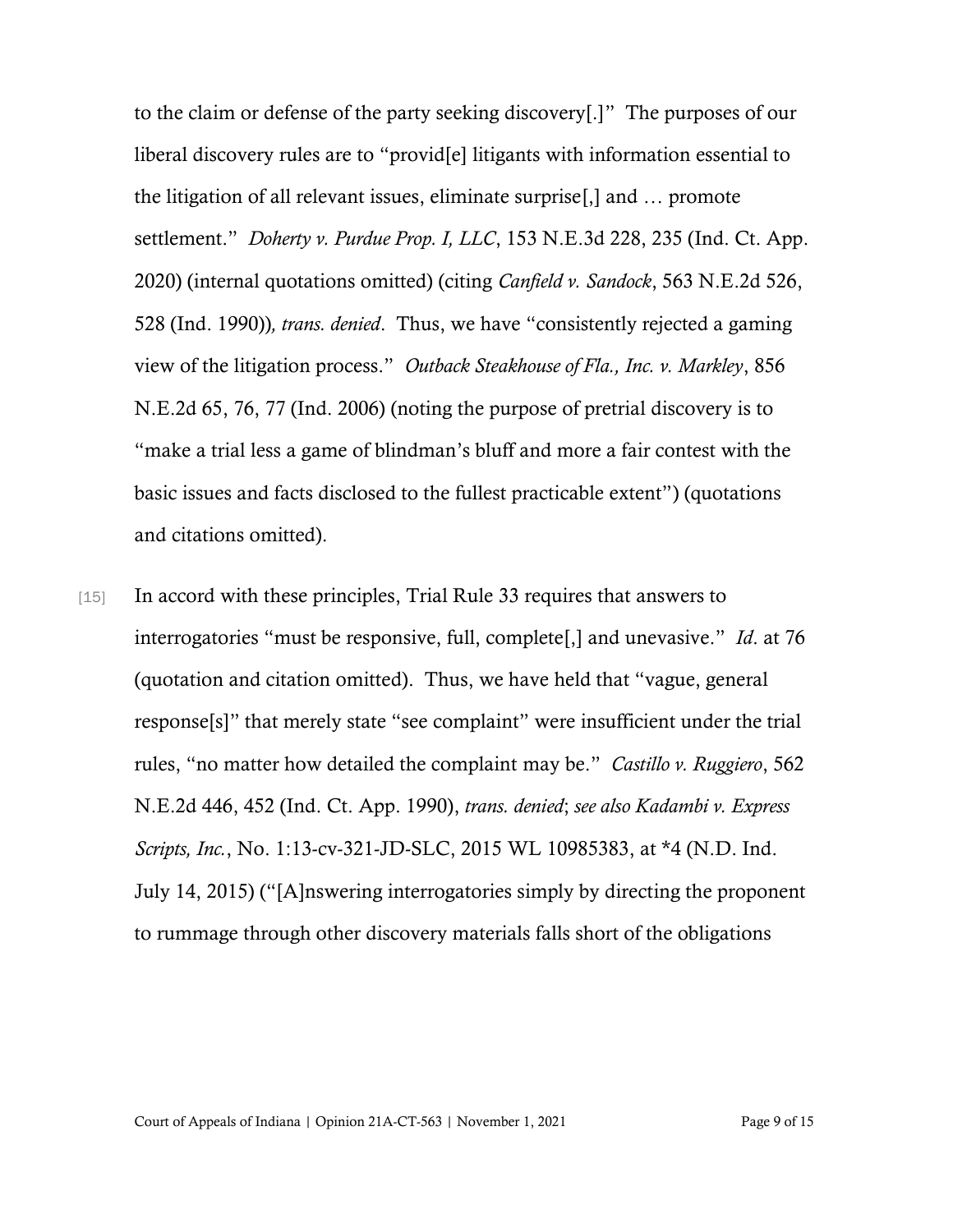to the claim or defense of the party seeking discovery[.]" The purposes of our liberal discovery rules are to "provid[e] litigants with information essential to the litigation of all relevant issues, eliminate surprise[,] and … promote settlement." *Doherty v. Purdue Prop. I, LLC*, 153 N.E.3d 228, 235 (Ind. Ct. App. 2020) (internal quotations omitted) (citing *Canfield v. Sandock*, 563 N.E.2d 526, 528 (Ind. 1990))*, trans. denied*. Thus, we have "consistently rejected a gaming view of the litigation process." *Outback Steakhouse of Fla., Inc. v. Markley*, 856 N.E.2d 65, 76, 77 (Ind. 2006) (noting the purpose of pretrial discovery is to "make a trial less a game of blindman's bluff and more a fair contest with the basic issues and facts disclosed to the fullest practicable extent") (quotations and citations omitted).

[15] In accord with these principles, Trial Rule 33 requires that answers to interrogatories "must be responsive, full, complete[,] and unevasive." *Id*. at 76 (quotation and citation omitted). Thus, we have held that "vague, general response[s]" that merely state "see complaint" were insufficient under the trial rules, "no matter how detailed the complaint may be." *Castillo v. Ruggiero*, 562 N.E.2d 446, 452 (Ind. Ct. App. 1990), *trans. denied*; *see also Kadambi v. Express Scripts, Inc.*, No. 1:13-cv-321-JD-SLC, 2015 WL 10985383, at \*4 (N.D. Ind. July 14, 2015) ("[A]nswering interrogatories simply by directing the proponent to rummage through other discovery materials falls short of the obligations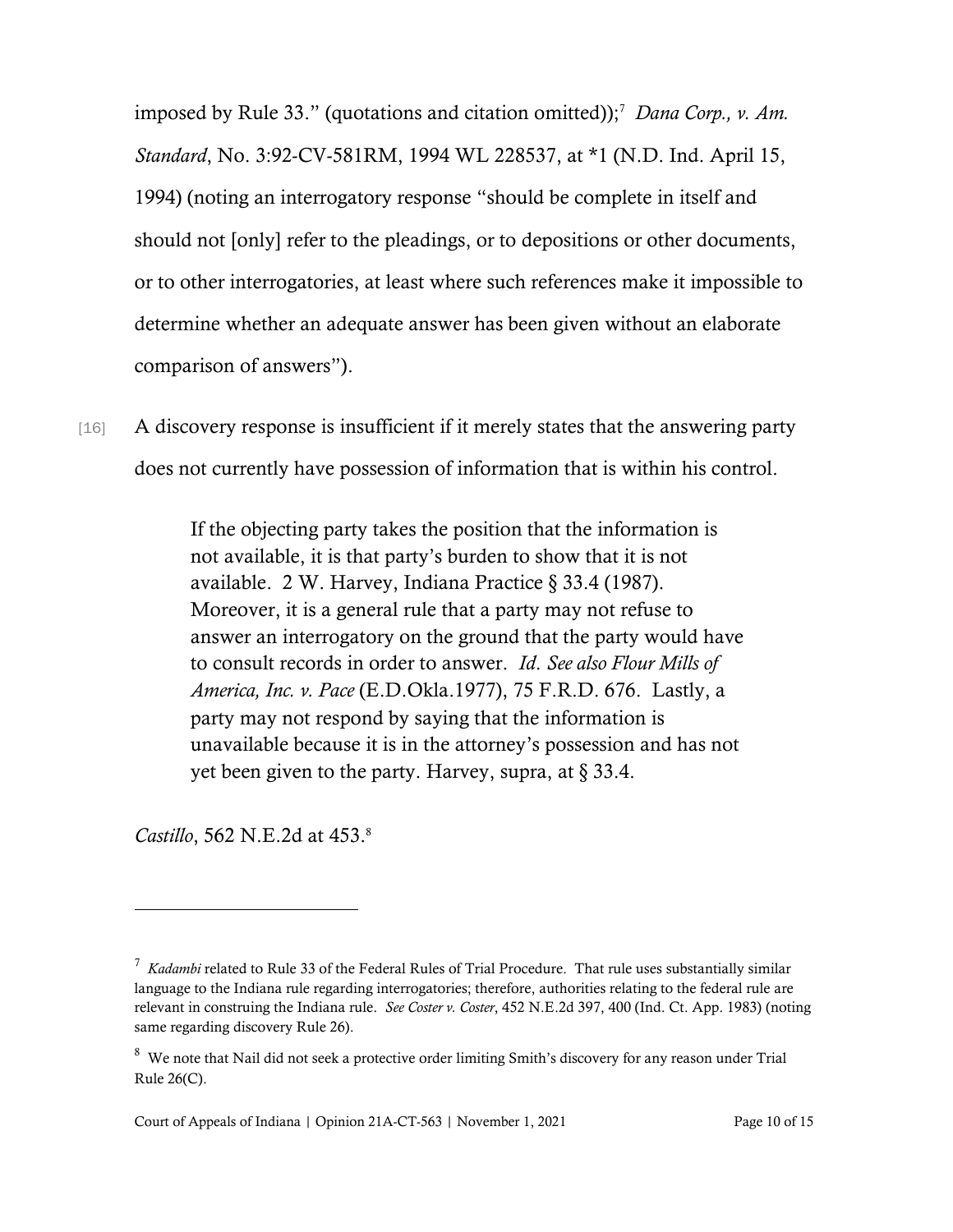imposed by Rule 33." (quotations and citation omitted));<sup>7</sup> *Dana Corp., v. Am. Standard*, No. 3:92-CV-581RM, 1994 WL 228537, at \*1 (N.D. Ind. April 15, 1994) (noting an interrogatory response "should be complete in itself and should not [only] refer to the pleadings, or to depositions or other documents, or to other interrogatories, at least where such references make it impossible to determine whether an adequate answer has been given without an elaborate comparison of answers").

[16] A discovery response is insufficient if it merely states that the answering party does not currently have possession of information that is within his control.

> If the objecting party takes the position that the information is not available, it is that party's burden to show that it is not available. 2 W. Harvey, Indiana Practice § 33.4 (1987). Moreover, it is a general rule that a party may not refuse to answer an interrogatory on the ground that the party would have to consult records in order to answer. *Id*. *See also Flour Mills of America, Inc. v. Pace* (E.D.Okla.1977), 75 F.R.D. 676. Lastly, a party may not respond by saying that the information is unavailable because it is in the attorney's possession and has not yet been given to the party. Harvey, supra, at  $\S 33.4$ .

*Castillo*, 562 N.E.2d at 453. 8

<sup>7</sup> *Kadambi* related to Rule 33 of the Federal Rules of Trial Procedure. That rule uses substantially similar language to the Indiana rule regarding interrogatories; therefore, authorities relating to the federal rule are relevant in construing the Indiana rule. *See Coster v. Coster*, 452 N.E.2d 397, 400 (Ind. Ct. App. 1983) (noting same regarding discovery Rule 26).

 $8$  We note that Nail did not seek a protective order limiting Smith's discovery for any reason under Trial Rule 26(C).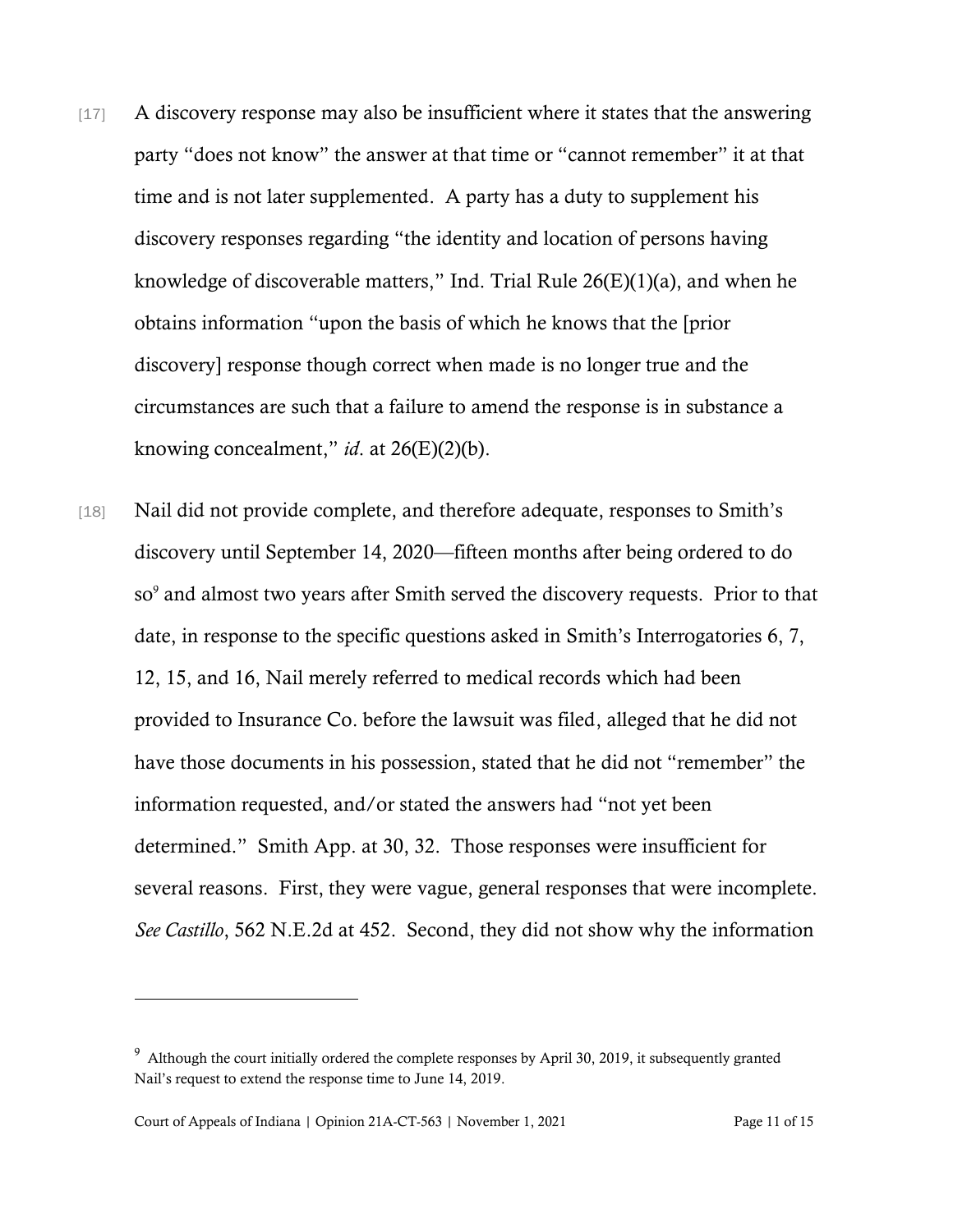- [17] A discovery response may also be insufficient where it states that the answering party "does not know" the answer at that time or "cannot remember" it at that time and is not later supplemented. A party has a duty to supplement his discovery responses regarding "the identity and location of persons having knowledge of discoverable matters," Ind. Trial Rule  $26(E)(1)(a)$ , and when he obtains information "upon the basis of which he knows that the [prior discovery] response though correct when made is no longer true and the circumstances are such that a failure to amend the response is in substance a knowing concealment," *id*. at 26(E)(2)(b).
- [18] Nail did not provide complete, and therefore adequate, responses to Smith's discovery until September 14, 2020—fifteen months after being ordered to do so<sup>9</sup> and almost two years after Smith served the discovery requests. Prior to that date, in response to the specific questions asked in Smith's Interrogatories 6, 7, 12, 15, and 16, Nail merely referred to medical records which had been provided to Insurance Co. before the lawsuit was filed, alleged that he did not have those documents in his possession, stated that he did not "remember" the information requested, and/or stated the answers had "not yet been determined." Smith App. at 30, 32. Those responses were insufficient for several reasons. First, they were vague, general responses that were incomplete. *See Castillo*, 562 N.E.2d at 452. Second, they did not show why the information

 $9$  Although the court initially ordered the complete responses by April 30, 2019, it subsequently granted Nail's request to extend the response time to June 14, 2019.

Court of Appeals of Indiana | Opinion 21A-CT-563 | November 1, 2021 Page 11 of 15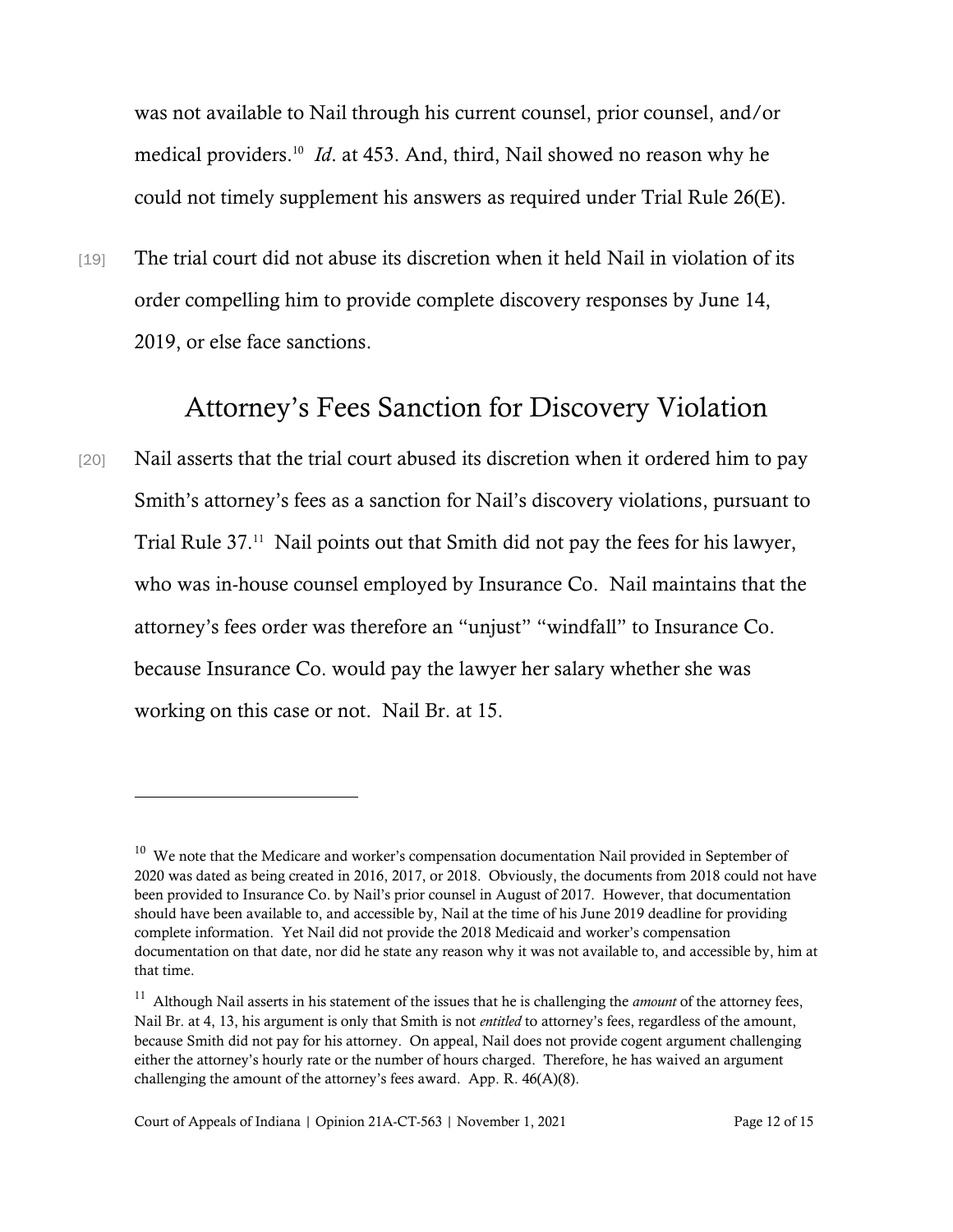was not available to Nail through his current counsel, prior counsel, and/or medical providers. 10 *Id*. at 453. And, third, Nail showed no reason why he could not timely supplement his answers as required under Trial Rule 26(E).

[19] The trial court did not abuse its discretion when it held Nail in violation of its order compelling him to provide complete discovery responses by June 14, 2019, or else face sanctions.

### Attorney's Fees Sanction for Discovery Violation

[20] Nail asserts that the trial court abused its discretion when it ordered him to pay Smith's attorney's fees as a sanction for Nail's discovery violations, pursuant to Trial Rule 37.<sup>11</sup> Nail points out that Smith did not pay the fees for his lawyer, who was in-house counsel employed by Insurance Co. Nail maintains that the attorney's fees order was therefore an "unjust" "windfall" to Insurance Co. because Insurance Co. would pay the lawyer her salary whether she was working on this case or not. Nail Br. at 15.

 $10$  We note that the Medicare and worker's compensation documentation Nail provided in September of 2020 was dated as being created in 2016, 2017, or 2018. Obviously, the documents from 2018 could not have been provided to Insurance Co. by Nail's prior counsel in August of 2017. However, that documentation should have been available to, and accessible by, Nail at the time of his June 2019 deadline for providing complete information. Yet Nail did not provide the 2018 Medicaid and worker's compensation documentation on that date, nor did he state any reason why it was not available to, and accessible by, him at that time.

<sup>&</sup>lt;sup>11</sup> Although Nail asserts in his statement of the issues that he is challenging the *amount* of the attorney fees, Nail Br. at 4, 13, his argument is only that Smith is not *entitled* to attorney's fees, regardless of the amount, because Smith did not pay for his attorney. On appeal, Nail does not provide cogent argument challenging either the attorney's hourly rate or the number of hours charged. Therefore, he has waived an argument challenging the amount of the attorney's fees award. App. R. 46(A)(8).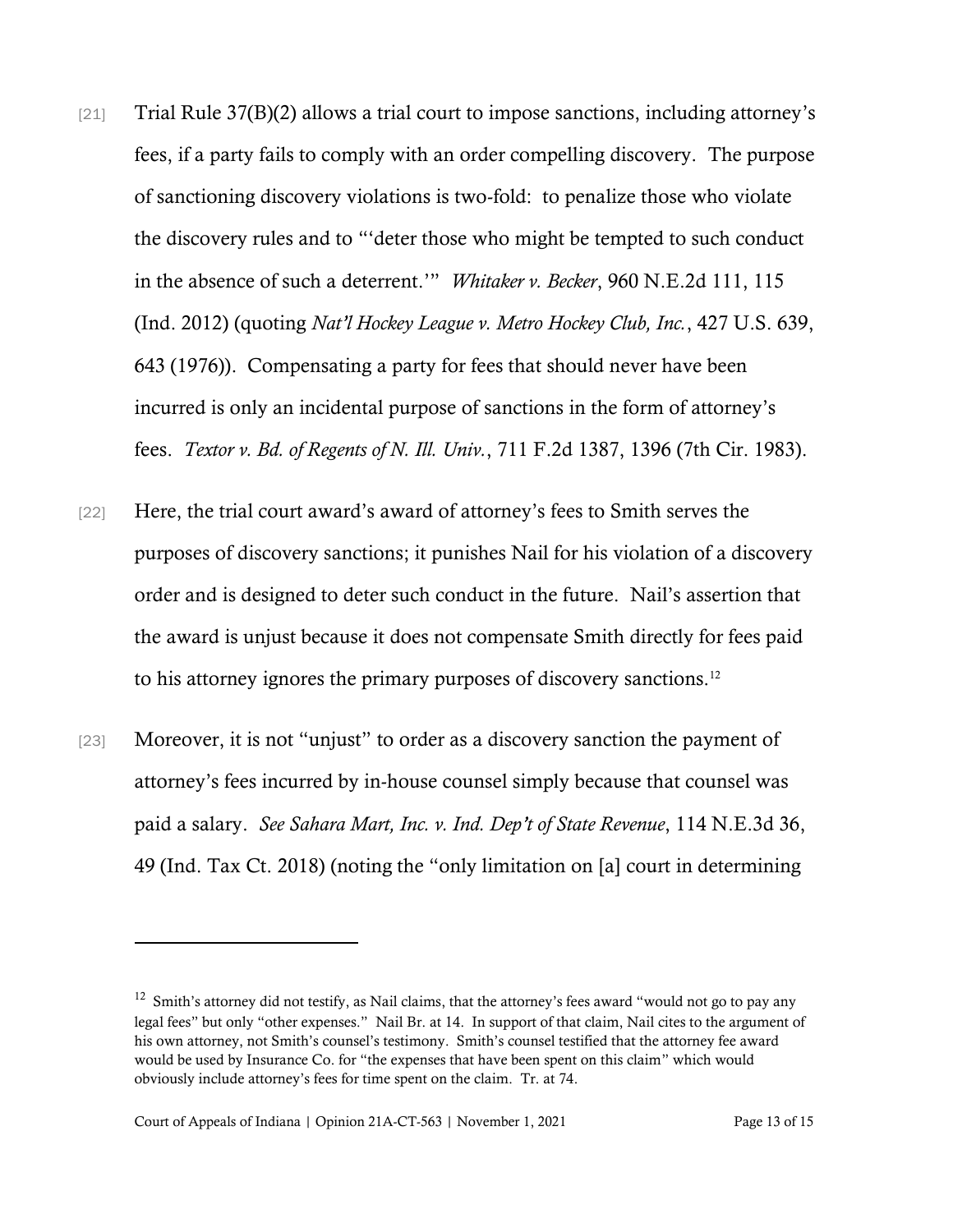- [21] Trial Rule 37(B)(2) allows a trial court to impose sanctions, including attorney's fees, if a party fails to comply with an order compelling discovery. The purpose of sanctioning discovery violations is two-fold: to penalize those who violate the discovery rules and to "'deter those who might be tempted to such conduct in the absence of such a deterrent.'" *Whitaker v. Becker*, 960 N.E.2d 111, 115 (Ind. 2012) (quoting *Nat'l Hockey League v. Metro Hockey Club, Inc.*, 427 U.S. 639, 643 (1976)). Compensating a party for fees that should never have been incurred is only an incidental purpose of sanctions in the form of attorney's fees. *Textor v. Bd. of Regents of N. Ill. Univ.*, 711 F.2d 1387, 1396 (7th Cir. 1983).
- [22] Here, the trial court award's award of attorney's fees to Smith serves the purposes of discovery sanctions; it punishes Nail for his violation of a discovery order and is designed to deter such conduct in the future. Nail's assertion that the award is unjust because it does not compensate Smith directly for fees paid to his attorney ignores the primary purposes of discovery sanctions.<sup>12</sup>
- [23] Moreover, it is not "unjust" to order as a discovery sanction the payment of attorney's fees incurred by in-house counsel simply because that counsel was paid a salary. *See Sahara Mart, Inc. v. Ind. Dep't of State Revenue*, 114 N.E.3d 36, 49 (Ind. Tax Ct. 2018) (noting the "only limitation on [a] court in determining

 $12$  Smith's attorney did not testify, as Nail claims, that the attorney's fees award "would not go to pay any legal fees" but only "other expenses." Nail Br. at 14. In support of that claim, Nail cites to the argument of his own attorney, not Smith's counsel's testimony. Smith's counsel testified that the attorney fee award would be used by Insurance Co. for "the expenses that have been spent on this claim" which would obviously include attorney's fees for time spent on the claim. Tr. at 74.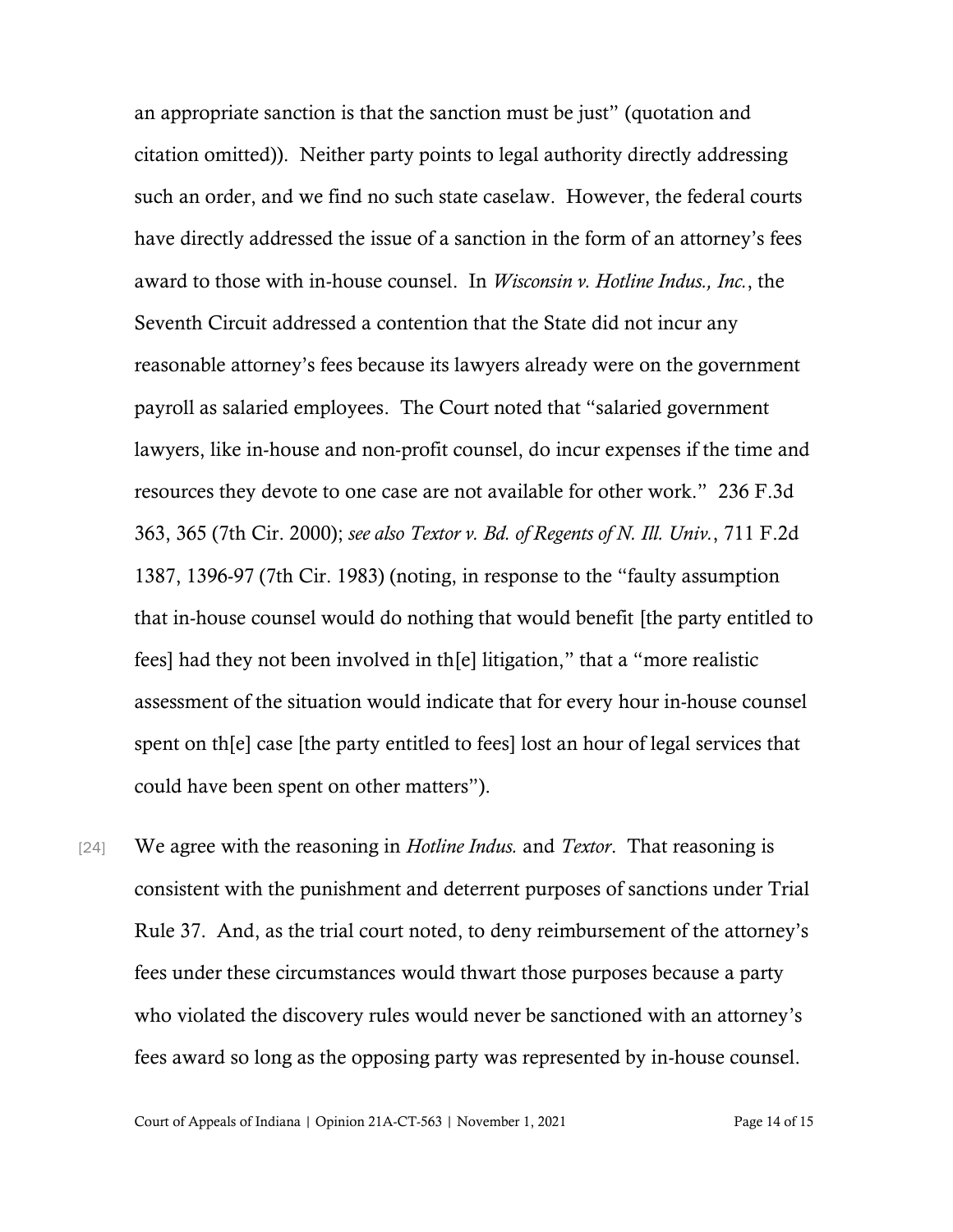an appropriate sanction is that the sanction must be just" (quotation and citation omitted)). Neither party points to legal authority directly addressing such an order, and we find no such state caselaw. However, the federal courts have directly addressed the issue of a sanction in the form of an attorney's fees award to those with in-house counsel. In *Wisconsin v. Hotline Indus., Inc.*, the Seventh Circuit addressed a contention that the State did not incur any reasonable attorney's fees because its lawyers already were on the government payroll as salaried employees. The Court noted that "salaried government lawyers, like in-house and non-profit counsel, do incur expenses if the time and resources they devote to one case are not available for other work." 236 F.3d 363, 365 (7th Cir. 2000); *see also Textor v. Bd. of Regents of N. Ill. Univ.*, 711 F.2d 1387, 1396-97 (7th Cir. 1983) (noting, in response to the "faulty assumption that in-house counsel would do nothing that would benefit [the party entitled to fees] had they not been involved in th[e] litigation," that a "more realistic assessment of the situation would indicate that for every hour in-house counsel spent on th[e] case [the party entitled to fees] lost an hour of legal services that could have been spent on other matters").

[24] We agree with the reasoning in *Hotline Indus.* and *Textor*. That reasoning is consistent with the punishment and deterrent purposes of sanctions under Trial Rule 37. And, as the trial court noted, to deny reimbursement of the attorney's fees under these circumstances would thwart those purposes because a party who violated the discovery rules would never be sanctioned with an attorney's fees award so long as the opposing party was represented by in-house counsel.

Court of Appeals of Indiana | Opinion 21A-CT-563 | November 1, 2021 Page 14 of 15